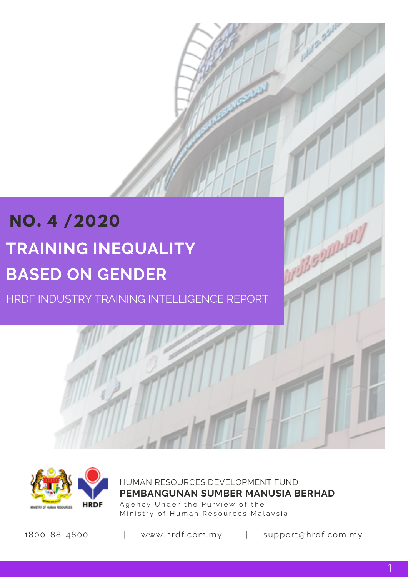# **NO. 4 /2020 TRAINING INEQUALITY BASED ON GENDER**

HRDF INDUSTRY TRAINING INTELLIGENCE REPORT



HUMAN RESOURCES DEVELOPMENT FUND Agency Under the Purview of the Ministry of Human Resources Malaysia **PEMBANGUNAN SUMBER MANUSIA BERHAD**

1800-88-4800 | www.hrdf.com.my | support@hrdf.com.my

ROLL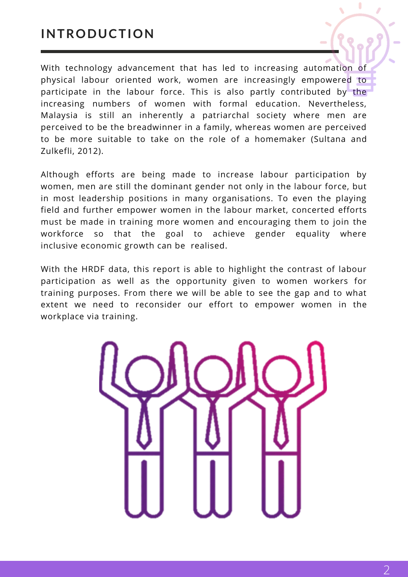### **INTRODUCTION**

With technology advancement that has led to increasing automation of physical labour oriented work, women are increasingly empowered to participate in the labour force. This is also partly contributed by the increasing numbers of women with formal education. Nevertheless, Malaysia is still an inherently a patriarchal society where men are perceived to be the breadwinner in a family, whereas women are perceived to be more suitable to take on the role of a homemaker (Sultana and Zulkefli, 2012).

Although efforts are being made to increase labour participation by women, men are still the dominant gender not only in the labour force, but in most leadership positions in many organisations. To even the playing field and further empower women in the labour market, concerted efforts must be made in training more women and encouraging them to join the workforce so that the goal to achieve gender equality where inclusive economic growth can be realised.

With the HRDF data, this report is able to highlight the contrast of labour participation as well as the opportunity given to women workers for training purposes. From there we will be able to see the gap and to what extent we need to reconsider our effort to empower women in the workplace via training.

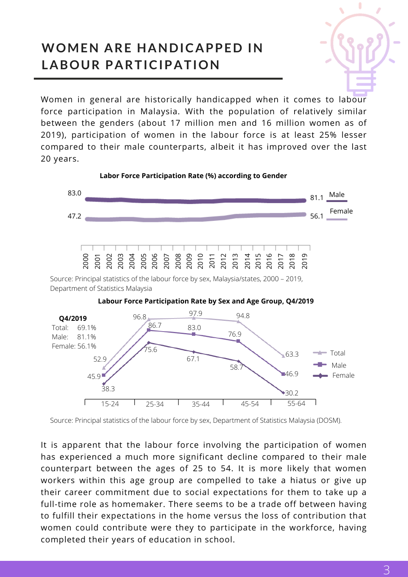## **WOMEN ARE HANDICAPPED IN LABOUR PARTICIPATION**

Women in general are historically handicapped when it comes to labour force participation in Malaysia. With the population of relatively similar between the genders (about 17 million men and 16 million women as of 2019), participation of women in the labour force is at least 25% lesser compared to their male counterparts, albeit it has improved over the last 20 years.





Source: Principal statistics of the labour force by sex, Department of Statistics Malaysia (DOSM).

It is apparent that the labour force involving the participation of women has experienced a much more significant decline compared to their male counterpart between the ages of 25 to 54. It is more likely that women workers within this age group are compelled to take a hiatus or give up their career commitment due to social expectations for them to take up a full-time role as homemaker. There seems to be a trade off between having to fulfill their expectations in the home versus the loss of contribution that women could contribute were they to participate in the workforce, having completed their years of education in school.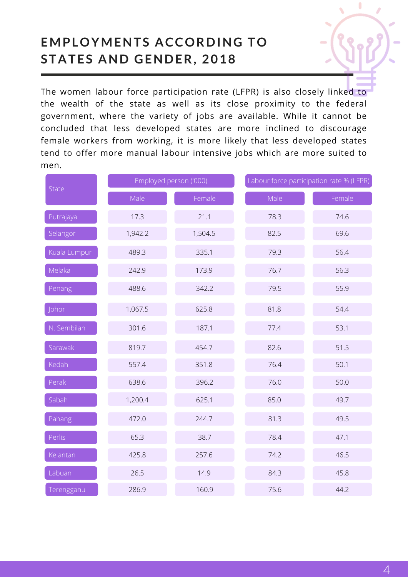## **EMPLOYMENTS ACCORDING TO STATES AND GENDER, 2018**

The women labour force participation rate (LFPR) is also closely linked to the wealth of the state as well as its close proximity to the federal government, where the variety of jobs are available. While it cannot be concluded that less developed states are more inclined to discourage female workers from working, it is more likely that less developed states tend to offer more manual labour intensive jobs which are more suited to men.

| State        | Employed person ('000) |         | Labour force participation rate % (LFPR) |        |
|--------------|------------------------|---------|------------------------------------------|--------|
|              | Male                   | Female  | Male                                     | Female |
| Putrajaya    | 17.3                   | 21.1    | 78.3                                     | 74.6   |
| Selangor     | 1,942.2                | 1,504.5 | 82.5                                     | 69.6   |
| Kuala Lumpur | 489.3                  | 335.1   | 79.3                                     | 56.4   |
| Melaka       | 242.9                  | 173.9   | 76.7                                     | 56.3   |
| Penang       | 488.6                  | 342.2   | 79.5                                     | 55.9   |
| Johor        | 1,067.5                | 625.8   | 81.8                                     | 54.4   |
| N. Sembilan  | 301.6                  | 187.1   | 77.4                                     | 53.1   |
| Sarawak      | 819.7                  | 454.7   | 82.6                                     | 51.5   |
| Kedah        | 557.4                  | 351.8   | 76.4                                     | 50.1   |
| Perak        | 638.6                  | 396.2   | 76.0                                     | 50.0   |
| Sabah        | 1,200.4                | 625.1   | 85.0                                     | 49.7   |
| Pahang       | 472.0                  | 244.7   | 81.3                                     | 49.5   |
| Perlis       | 65.3                   | 38.7    | 78.4                                     | 47.1   |
| Kelantan     | 425.8                  | 257.6   | 74.2                                     | 46.5   |
| Labuan       | 26.5                   | 14.9    | 84.3                                     | 45.8   |
| Terengganu   | 286.9                  | 160.9   | 75.6                                     | 44.2   |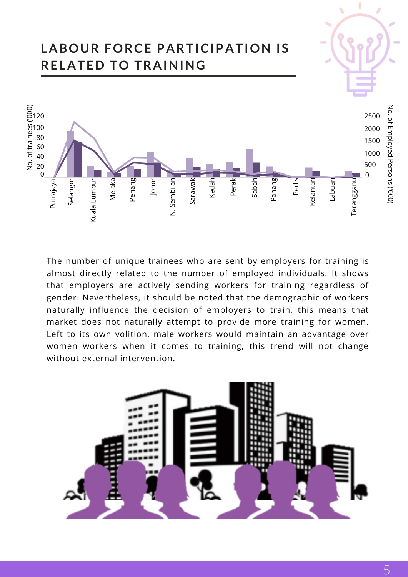

The number of unique trainees who are sent by employers for training is almost directly related to the number of employed individuals. It shows that employers are actively sending workers for training regardless of gender. Nevertheless, it should be noted that the demographic of workers naturally influence the decision of employers to train, this means that market does not naturally attempt to provide more training for women. Left to its own volition, male workers would maintain an advantage over women workers when it comes to training, this trend will not change without external intervention.

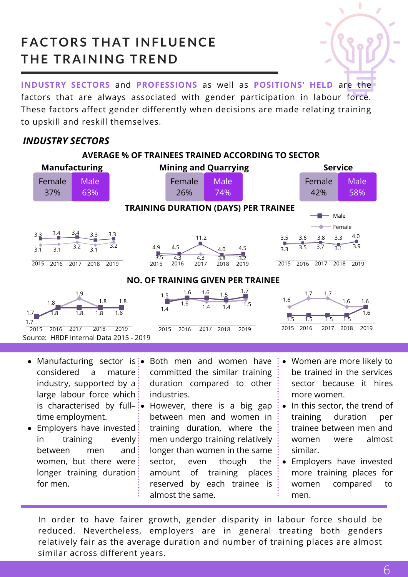## **FACTORS THAT INFLUENCE THE TRAINING TREND**



**INDUSTRY SECTORS** and **PROFESSIONS** as well as **POSITIONS' HELD** are the factors that are always associated with gender participation in labour force. These factors affect gender differently when decisions are made relating training to upskill and reskill themselves.

### *INDUSTRY SECTORS*



- considered a mature industry, supported by  $a$ : large labour force which: time employment.
- Employers have invested: in training evenly between men and women, but there were longer training duration for men.
- Manufacturing sector is: $\bullet$  Both men and women have committed the similar training duration compared to other industries.
- is characterised by full– $\frac{1}{2}$  However, there is a big gap between men and women in training duration, where the men undergo training relatively longer than women in the same sector, even though the  $\colon$ amount of training places reserved by each trainee is almost the same.
- Women are more likely to be trained in the services sector because it hires more women.
- In this sector, the trend of training duration per trainee between men and women were almost similar.
- Employers have invested  $\bullet$ more training places for women compared to men.

In order to have fairer growth, gender disparity in labour force should be reduced. Nevertheless, employers are in general treating both genders relatively fair as the average duration and number of training places are almost similar across different years.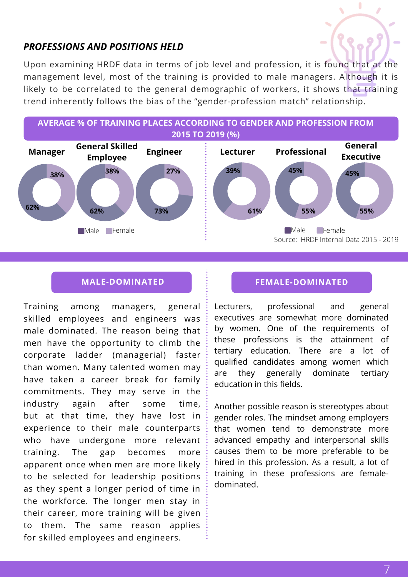### *PROFESSIONS AND POSITIONS HELD*

Upon examining HRDF data in terms of job level and profession, it is found that at the management level, most of the training is provided to male managers. Although it is likely to be correlated to the general demographic of workers, it shows that training trend inherently follows the bias of the "gender-profession match" relationship.



Training among managers, general skilled employees and engineers was male dominated. The reason being that men have the opportunity to climb the corporate ladder (managerial) faster than women. Many talented women may have taken a career break for family commitments. They may serve in the industry again after some time, but at that time, they have lost in experience to their male counterparts who have undergone more relevant training. The gap becomes more apparent once when men are more likely to be selected for leadership positions as they spent a longer period of time in the workforce. The longer men stay in their career, more training will be given to them. The same reason applies for skilled employees and engineers.

### **MALE-DOMINATED FEMALE-DOMINATED**

Lecturers, professional and general executives are somewhat more dominated by women. One of the requirements of these professions is the attainment of tertiary education. There are a lot of qualified candidates among women which are they generally dominate tertiary education in this fields.

Another possible reason is stereotypes about gender roles. The mindset among employers that women tend to demonstrate more advanced empathy and interpersonal skills causes them to be more preferable to be hired in this profession. As a result, a lot of training in these professions are femaledominated.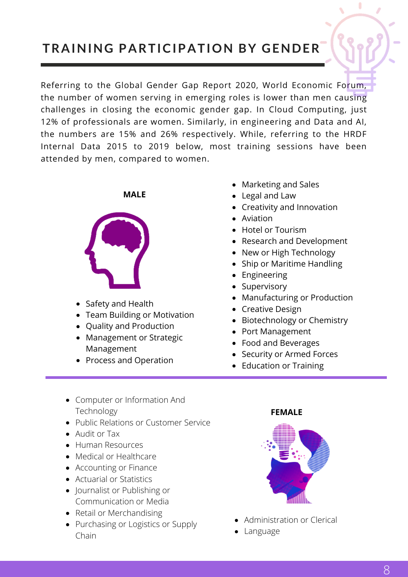## **TRAINING PARTICIPATION BY GENDER**

Referring to the Global Gender Gap Report 2020, World Economic Forum, the number of women serving in emerging roles is lower than men causing challenges in closing the economic gender gap. In Cloud Computing, just 12% of professionals are women. Similarly, in engineering and Data and AI, the numbers are 15% and 26% respectively. While, referring to the HRDF Internal Data 2015 to 2019 below, most training sessions have been attended by men, compared to women.

**MALE**



- Safety and Health
- Team Building or Motivation
- Quality and Production
- Management or Strategic Management
- Process and Operation
- Marketing and Sales
- Legal and Law
- Creativity and Innovation
- Aviation
- Hotel or Tourism
- Research and Development
- New or High Technology
- Ship or Maritime Handling
- Engineering
- Supervisory
- Manufacturing or Production
- Creative Design
- Biotechnology or Chemistry
- Port Management
- Food and Beverages
- Security or Armed Forces
- Education or Training
- Computer or Information And Technology
- Public Relations or Customer Service
- Audit or Tax
- Human Resources
- Medical or Healthcare
- Accounting or Finance
- Actuarial or Statistics
- Journalist or Publishing or Communication or Media
- Retail or Merchandising
- Purchasing or Logistics or Supply Chain

### **FEMALE**



- Administration or Clerical
- Language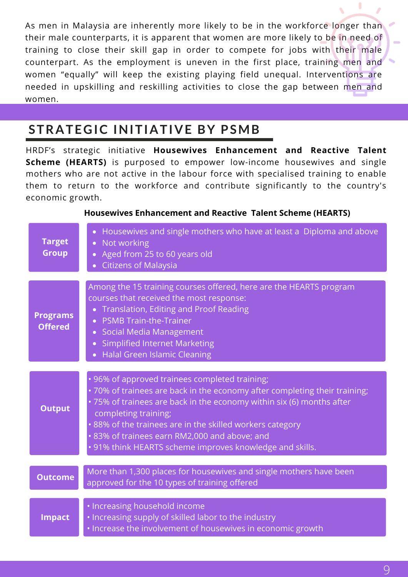As men in Malaysia are inherently more likely to be in the workforce longer than their male counterparts, it is apparent that women are more likely to be in need of training to close their skill gap in order to compete for jobs with their male counterpart. As the employment is uneven in the first place, training men and women "equally" will keep the existing playing field unequal. Interventions are needed in upskilling and reskilling activities to close the gap between men and women.

## **STRATEGIC INITIATIVE BY PSMB**

HRDF's strategic initiative **Housewives Enhancement and Reactive Talent Scheme (HEARTS)** is purposed to empower low-income housewives and single mothers who are not active in the labour force with specialised training to enable them to return to the workforce and contribute significantly to the country's economic growth.

| <b>Target</b><br><b>Group</b>     | Housewives and single mothers who have at least a Diploma and above<br>$\bullet$<br>Not working<br>$\bullet$<br>• Aged from 25 to 60 years old<br><b>Citizens of Malaysia</b>                                                                                                                                                                                                                         |
|-----------------------------------|-------------------------------------------------------------------------------------------------------------------------------------------------------------------------------------------------------------------------------------------------------------------------------------------------------------------------------------------------------------------------------------------------------|
| <b>Programs</b><br><b>Offered</b> | Among the 15 training courses offered, here are the HEARTS program<br>courses that received the most response:<br>Translation, Editing and Proof Reading<br><b>PSMB Train-the-Trainer</b><br><b>Social Media Management</b><br>$\bullet$<br><b>Simplified Internet Marketing</b><br>$\bullet$<br><b>Halal Green Islamic Cleaning</b>                                                                  |
| <b>Output</b>                     | • 96% of approved trainees completed training;<br>.70% of trainees are back in the economy after completing their training;<br>• 75% of trainees are back in the economy within six (6) months after<br>completing training;<br>.88% of the trainees are in the skilled workers category<br>· 83% of trainees earn RM2,000 and above; and<br>• 91% think HEARTS scheme improves knowledge and skills. |
| <b>Outcome</b>                    | More than 1,300 places for housewives and single mothers have been<br>approved for the 10 types of training offered                                                                                                                                                                                                                                                                                   |
| <b>Impact</b>                     | · Increasing household income<br>. Increasing supply of skilled labor to the industry<br>· Increase the involvement of housewives in economic growth                                                                                                                                                                                                                                                  |

### **Housewives Enhancement and Reactive Talent Scheme (HEARTS)**